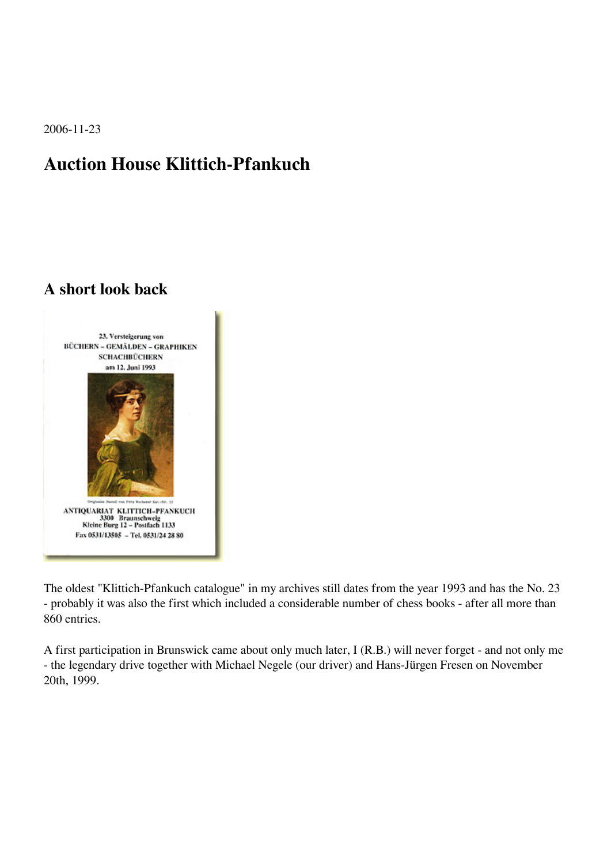2006-11-23

## **Auction House Klittich-Pfankuch**

## **A short look back**



The oldest "Klittich-Pfankuch catalogue" in my archives still dates from the year 1993 and has the No. 23 - probably it was also the first which included a considerable number of chess books - after all more than 860 entries.

A first participation in Brunswick came about only much later, I (R.B.) will never forget - and not only me - the legendary drive together with Michael Negele (our driver) and Hans-Jürgen Fresen on November 20th, 1999.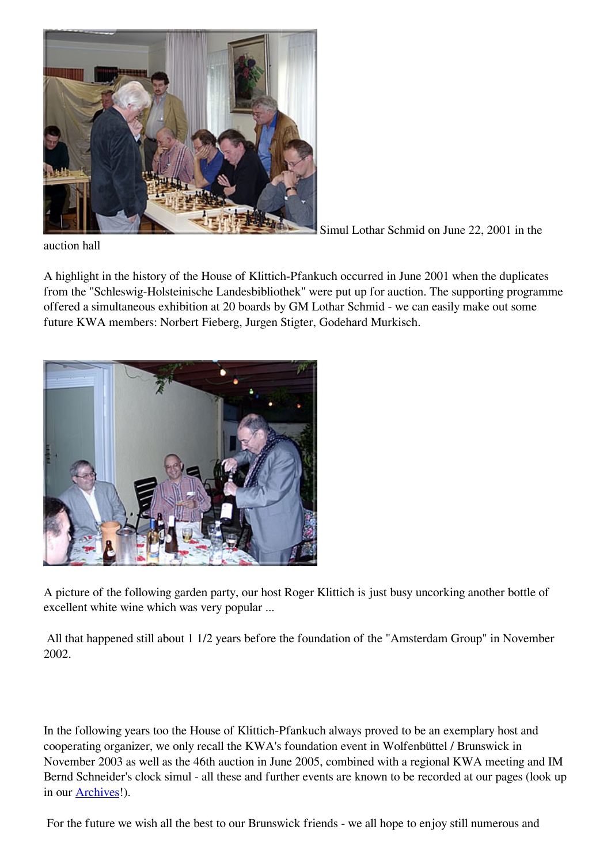

Simul Lothar Schmid on June 22, 2001 in the

auction hall

A highlight in the history of the House of Klittich-Pfankuch occurred in June 2001 when the duplicates from the "Schleswig-Holsteinische Landesbibliothek" were put up for auction. The supporting programme offered a simultaneous exhibition at 20 boards by GM Lothar Schmid - we can easily make out some future KWA members: Norbert Fieberg, Jurgen Stigter, Godehard Murkisch.



A picture of the following garden party, our host Roger Klittich is just busy uncorking another bottle of excellent white wine which was very popular ...

 All that happened still about 1 1/2 years before the foundation of the "Amsterdam Group" in November 2002.

In the following years too the House of Klittich-Pfankuch always proved to be an exemplary host and cooperating organizer, we only recall the KWA's foundation event in Wolfenbüttel / Brunswick in November 2003 as well as the 46th auction in June 2005, combined with a regional KWA meeting and IM Bernd Schneider's clock simul - all these and further events are known to be recorded at our pages (look up in our [Archives](http://kwabc.org/archive/Homepage-UK/Archives.htm#event)!).

For the future we wish all the best to our Brunswick friends - we all hope to enjoy still numerous and